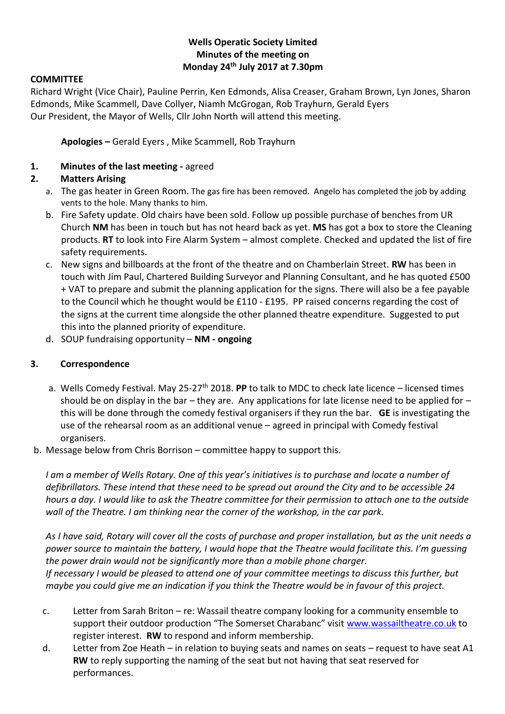### **Wells Operatic Society Limited Minutes of the meeting on Monday 24th July 2017 at 7.30pm**

#### **COMMITTEE**

Richard Wright (Vice Chair), Pauline Perrin, Ken Edmonds, Alisa Creaser, Graham Brown, Lyn Jones, Sharon Edmonds, Mike Scammell, Dave Collyer, Niamh McGrogan, Rob Trayhurn, Gerald Eyers Our President, the Mayor of Wells, Cllr John North will attend this meeting.

**Apologies –** Gerald Eyers , Mike Scammell, Rob Trayhurn

#### **1. Minutes of the last meeting -** agreed

### **2. Matters Arising**

- a. The gas heater in Green Room. The gas fire has been removed. Angelo has completed the job by adding vents to the hole. Many thanks to him.
- b. Fire Safety update. Old chairs have been sold. Follow up possible purchase of benches from UR Church **NM** has been in touch but has not heard back as yet. **MS** has got a box to store the Cleaning products. **RT** to look into Fire Alarm System – almost complete. Checked and updated the list of fire safety requirements.
- c. New signs and billboards at the front of the theatre and on Chamberlain Street. **RW** has been in touch with Jim Paul, Chartered Building Surveyor and Planning Consultant, and he has quoted £500 + VAT to prepare and submit the planning application for the signs. There will also be a fee payable to the Council which he thought would be £110 - £195. PP raised concerns regarding the cost of the signs at the current time alongside the other planned theatre expenditure. Suggested to put this into the planned priority of expenditure.
- d. SOUP fundraising opportunity **NM - ongoing**

#### **3. Correspondence**

- a. Wells Comedy Festival. May 25-27<sup>th</sup> 2018. **PP** to talk to MDC to check late licence licensed times should be on display in the bar – they are. Any applications for late license need to be applied for  $$ this will be done through the comedy festival organisers if they run the bar. **GE** is investigating the use of the rehearsal room as an additional venue – agreed in principal with Comedy festival organisers.
- b. Message below from Chris Borrison committee happy to support this.

*I am a member of Wells Rotary. One of this year's initiatives is to purchase and locate a number of defibrillators. These intend that these need to be spread out around the City and to be accessible 24 hours a day. I would like to ask the Theatre committee for their permission to attach one to the outside wall of the Theatre. I am thinking near the corner of the workshop, in the car park.*

*As I have said, Rotary will cover all the costs of purchase and proper installation, but as the unit needs a power source to maintain the battery, I would hope that the Theatre would facilitate this. I'm guessing the power drain would not be significantly more than a mobile phone charger. If necessary I would be pleased to attend one of your committee meetings to discuss this further, but maybe you could give me an indication if you think the Theatre would be in favour of this project.*

- c. Letter from Sarah Briton re: Wassail theatre company looking for a community ensemble to support their outdoor production "The Somerset Charabanc" visit [www.wassailtheatre.co.uk](http://www.wassailtheatre.co.uk/) to register interest. **RW** to respond and inform membership.
- d. Letter from Zoe Heath in relation to buying seats and names on seats request to have seat A1 **RW** to reply supporting the naming of the seat but not having that seat reserved for performances.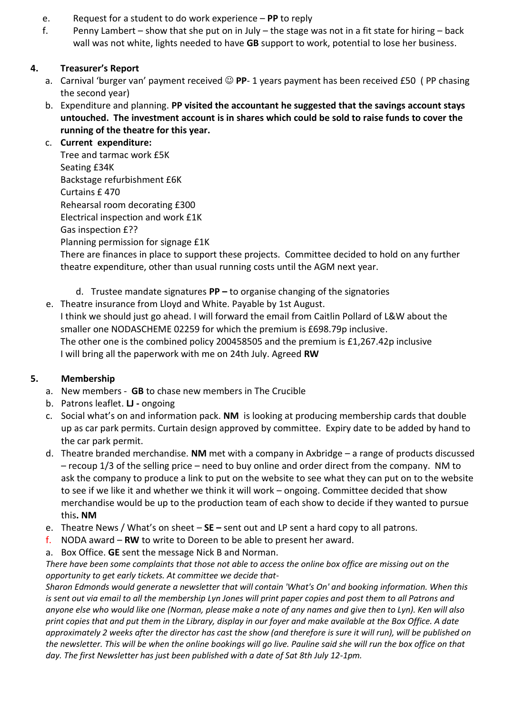- e. Request for a student to do work experience **PP** to reply
- f. Penny Lambert show that she put on in July the stage was not in a fit state for hiring back wall was not white, lights needed to have **GB** support to work, potential to lose her business.

# **4. Treasurer's Report**

- a. Carnival 'burger van' payment received **PP** 1 years payment has been received £50 ( PP chasing the second year)
- b. Expenditure and planning. **PP visited the accountant he suggested that the savings account stays untouched. The investment account is in shares which could be sold to raise funds to cover the running of the theatre for this year.**

## c. **Current expenditure:**

Tree and tarmac work £5K Seating £34K Backstage refurbishment £6K Curtains £ 470 Rehearsal room decorating £300 Electrical inspection and work £1K Gas inspection £?? Planning permission for signage £1K

There are finances in place to support these projects. Committee decided to hold on any further theatre expenditure, other than usual running costs until the AGM next year.

- d. Trustee mandate signatures **PP –** to organise changing of the signatories
- e. Theatre insurance from Lloyd and White. Payable by 1st August. I think we should just go ahead. I will forward the email from Caitlin Pollard of L&W about the smaller one NODASCHEME 02259 for which the premium is £698.79p inclusive. The other one is the combined policy 200458505 and the premium is £1,267.42p inclusive I will bring all the paperwork with me on 24th July. Agreed **RW**

# **5. Membership**

- a. New members **GB** to chase new members in The Crucible
- b. Patrons leaflet. **LJ -** ongoing
- c. Social what's on and information pack. **NM** is looking at producing membership cards that double up as car park permits. Curtain design approved by committee. Expiry date to be added by hand to the car park permit.
- d. Theatre branded merchandise. **NM** met with a company in Axbridge a range of products discussed – recoup 1/3 of the selling price – need to buy online and order direct from the company. NM to ask the company to produce a link to put on the website to see what they can put on to the website to see if we like it and whether we think it will work – ongoing. Committee decided that show merchandise would be up to the production team of each show to decide if they wanted to pursue this**. NM**
- e. Theatre News / What's on sheet **SE –** sent out and LP sent a hard copy to all patrons.
- f. NODA award **RW** to write to Doreen to be able to present her award.
- a. Box Office. **GE** sent the message Nick B and Norman.

*There have been some complaints that those not able to access the online box office are missing out on the opportunity to get early tickets. At committee we decide that-*

*Sharon Edmonds would generate a newsletter that will contain 'What's On' and booking information. When this is sent out via email to all the membership Lyn Jones will print paper copies and post them to all Patrons and anyone else who would like one (Norman, please make a note of any names and give then to Lyn). Ken will also print copies that and put them in the Library, display in our foyer and make available at the Box Office. A date approximately 2 weeks after the director has cast the show (and therefore is sure it will run), will be published on the newsletter. This will be when the online bookings will go live. Pauline said she will run the box office on that day. The first Newsletter has just been published with a date of Sat 8th July 12-1pm.*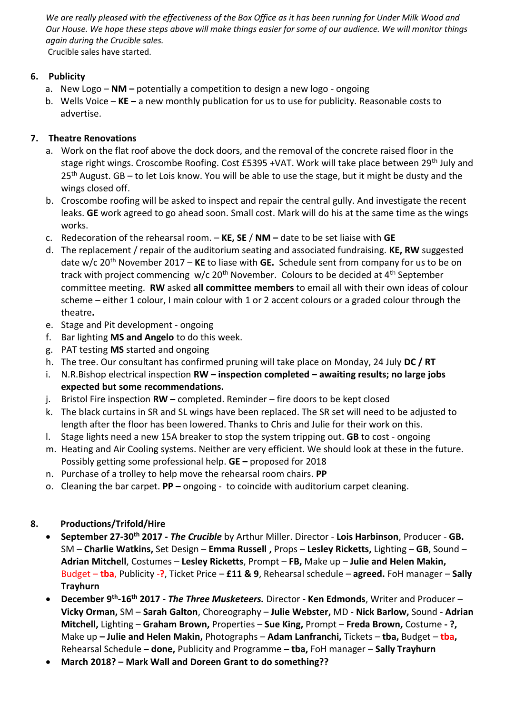*We are really pleased with the effectiveness of the Box Office as it has been running for Under Milk Wood and Our House. We hope these steps above will make things easier for some of our audience. We will monitor things again during the Crucible sales.* Crucible sales have started.

## **6. Publicity**

- a. New Logo **NM –** potentially a competition to design a new logo ongoing
- b. Wells Voice **KE –** a new monthly publication for us to use for publicity. Reasonable costs to advertise.

# **7. Theatre Renovations**

- a. Work on the flat roof above the dock doors, and the removal of the concrete raised floor in the stage right wings. Croscombe Roofing. Cost £5395 +VAT. Work will take place between 29<sup>th</sup> July and 25<sup>th</sup> August. GB – to let Lois know. You will be able to use the stage, but it might be dusty and the wings closed off.
- b. Croscombe roofing will be asked to inspect and repair the central gully. And investigate the recent leaks. **GE** work agreed to go ahead soon. Small cost. Mark will do his at the same time as the wings works.
- c. Redecoration of the rehearsal room. **KE, SE** / **NM –** date to be set liaise with **GE**
- d. The replacement / repair of the auditorium seating and associated fundraising. **KE, RW** suggested date w/c 20th November 2017 – **KE** to liase with **GE.** Schedule sent from company for us to be on track with project commencing  $w/c 20<sup>th</sup>$  November. Colours to be decided at 4<sup>th</sup> September committee meeting. **RW** asked **all committee members** to email all with their own ideas of colour scheme – either 1 colour, I main colour with 1 or 2 accent colours or a graded colour through the theatre**.**
- e. Stage and Pit development ongoing
- f. Bar lighting **MS and Angelo** to do this week.
- g. PAT testing **MS** started and ongoing
- h. The tree. Our consultant has confirmed pruning will take place on Monday, 24 July **DC / RT**
- i. N.R.Bishop electrical inspection **RW – inspection completed – awaiting results; no large jobs expected but some recommendations.**
- j. Bristol Fire inspection **RW –** completed. Reminder fire doors to be kept closed
- k. The black curtains in SR and SL wings have been replaced. The SR set will need to be adjusted to length after the floor has been lowered. Thanks to Chris and Julie for their work on this.
- l. Stage lights need a new 15A breaker to stop the system tripping out. **GB** to cost ongoing
- m. Heating and Air Cooling systems. Neither are very efficient. We should look at these in the future. Possibly getting some professional help. **GE –** proposed for 2018
- n. Purchase of a trolley to help move the rehearsal room chairs. **PP**
- o. Cleaning the bar carpet. **PP –** ongoing to coincide with auditorium carpet cleaning.

# **8. Productions/Trifold/Hire**

- **September 27-30th 2017 -** *The Crucible* by Arthur Miller. Director **Lois Harbinson**, Producer **GB.**  SM – **Charlie Watkins,** Set Design – **Emma Russell ,** Props – **Lesley Ricketts,** Lighting – **GB**, Sound – **Adrian Mitchell**, Costumes – **Lesley Ricketts**, Prompt – **FB,** Make up – **Julie and Helen Makin,**  Budget – **tba**, Publicity -**?**, Ticket Price – **£11 & 9**, Rehearsal schedule – **agreed.** FoH manager – **Sally Trayhurn**
- **December 9th -16th 2017 -** *The Three Musketeers.* Director **Ken Edmonds**, Writer and Producer **Vicky Orman,** SM – **Sarah Galton**, Choreography – **Julie Webster,** MD - **Nick Barlow,** Sound - **Adrian Mitchell,** Lighting – **Graham Brown,** Properties – **Sue King,** Prompt – **Freda Brown,** Costume **- ?,**  Make up **– Julie and Helen Makin,** Photographs – **Adam Lanfranchi,** Tickets – **tba,** Budget – **tba,**  Rehearsal Schedule **– done,** Publicity and Programme **– tba,** FoH manager – **Sally Trayhurn**
- **March 2018? – Mark Wall and Doreen Grant to do something??**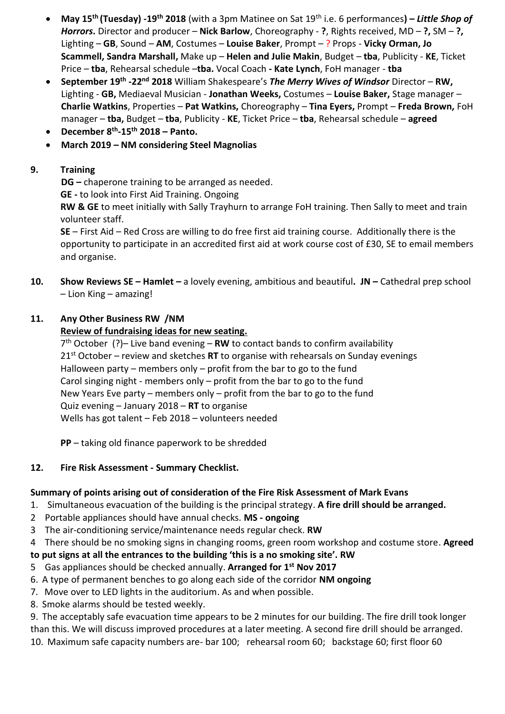- **May 15th (Tuesday) -19th 2018** (with a 3pm Matinee on Sat 19th i.e. 6 performances**) –** *Little Shop of Horrors***.** Director and producer – **Nick Barlow**, Choreography - **?**, Rights received, MD – **?,** SM – **?,**  Lighting – **GB**, Sound – **AM**, Costumes – **Louise Baker**, Prompt – ? Props - **Vicky Orman, Jo Scammell, Sandra Marshall,** Make up – **Helen and Julie Makin**, Budget – **tba**, Publicity - **KE**, Ticket Price – **tba**, Rehearsal schedule –**tba.** Vocal Coach **- Kate Lynch**, FoH manager - **tba**
- **September 19th -22nd 2018** William Shakespeare's *The Merry Wives of Windsor* Director **RW,**  Lighting - **GB,** Mediaeval Musician - **Jonathan Weeks,** Costumes – **Louise Baker,** Stage manager – **Charlie Watkins**, Properties – **Pat Watkins,** Choreography – **Tina Eyers,** Prompt – **Freda Brown,** FoH manager – **tba,** Budget – **tba**, Publicity - **KE**, Ticket Price – **tba**, Rehearsal schedule – **agreed**
- **December 8th -15th 2018 – Panto.**
- **March 2019 – NM considering Steel Magnolias**

# **9. Training**

**DG –** chaperone training to be arranged as needed.

**GE -** to look into First Aid Training. Ongoing

**RW & GE** to meet initially with Sally Trayhurn to arrange FoH training. Then Sally to meet and train volunteer staff.

**SE** – First Aid – Red Cross are willing to do free first aid training course. Additionally there is the opportunity to participate in an accredited first aid at work course cost of £30, SE to email members and organise.

**10. Show Reviews SE – Hamlet –** a lovely evening, ambitious and beautiful**. JN –** Cathedral prep school – Lion King – amazing!

### **11. Any Other Business RW /NM**

### **Review of fundraising ideas for new seating.**

7 th October (?)– Live band evening – **RW** to contact bands to confirm availability 21st October – review and sketches **RT** to organise with rehearsals on Sunday evenings Halloween party – members only – profit from the bar to go to the fund Carol singing night - members only – profit from the bar to go to the fund New Years Eve party – members only – profit from the bar to go to the fund Quiz evening – January 2018 – **RT** to organise Wells has got talent – Feb 2018 – volunteers needed

**PP** – taking old finance paperwork to be shredded

## **12. Fire Risk Assessment - Summary Checklist.**

## **Summary of points arising out of consideration of the Fire Risk Assessment of Mark Evans**

- 1. Simultaneous evacuation of the building is the principal strategy. **A fire drill should be arranged.**
- 2 Portable appliances should have annual checks. **MS - ongoing**
- 3 The air-conditioning service/maintenance needs regular check. **RW**
- 4 There should be no smoking signs in changing rooms, green room workshop and costume store. **Agreed**

# **to put signs at all the entrances to the building 'this is a no smoking site'. RW**

- 5 Gas appliances should be checked annually. **Arranged for 1st Nov 2017**
- 6. A type of permanent benches to go along each side of the corridor **NM ongoing**
- 7. Move over to LED lights in the auditorium. As and when possible.
- 8. Smoke alarms should be tested weekly.

9. The acceptably safe evacuation time appears to be 2 minutes for our building. The fire drill took longer than this. We will discuss improved procedures at a later meeting. A second fire drill should be arranged. 10. Maximum safe capacity numbers are- bar 100; rehearsal room 60; backstage 60; first floor 60